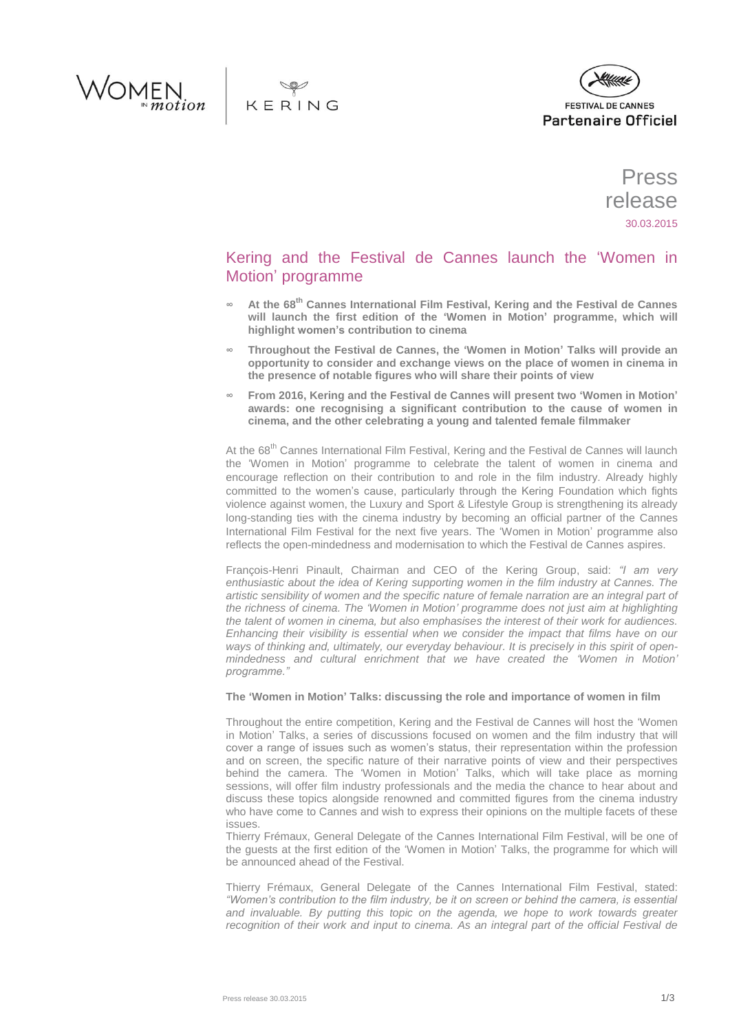





Press release 30.03.2015

# Kering and the Festival de Cannes launch the 'Women in Motion' programme

- **∞ At the 68th Cannes International Film Festival, Kering and the Festival de Cannes will launch the first edition of the 'Women in Motion' programme, which will highlight women's contribution to cinema**
- **∞ Throughout the Festival de Cannes, the 'Women in Motion' Talks will provide an opportunity to consider and exchange views on the place of women in cinema in the presence of notable figures who will share their points of view**
- **∞ From 2016, Kering and the Festival de Cannes will present two 'Women in Motion' awards: one recognising a significant contribution to the cause of women in cinema, and the other celebrating a young and talented female filmmaker**

At the 68<sup>th</sup> Cannes International Film Festival, Kering and the Festival de Cannes will launch the 'Women in Motion' programme to celebrate the talent of women in cinema and encourage reflection on their contribution to and role in the film industry. Already highly committed to the women's cause, particularly through the Kering Foundation which fights violence against women, the Luxury and Sport & Lifestyle Group is strengthening its already long-standing ties with the cinema industry by becoming an official partner of the Cannes International Film Festival for the next five years. The 'Women in Motion' programme also reflects the open-mindedness and modernisation to which the Festival de Cannes aspires.

François-Henri Pinault, Chairman and CEO of the Kering Group, said: *"I am very enthusiastic about the idea of Kering supporting women in the film industry at Cannes. The artistic sensibility of women and the specific nature of female narration are an integral part of the richness of cinema. The 'Women in Motion' programme does not just aim at highlighting the talent of women in cinema, but also emphasises the interest of their work for audiences. Enhancing their visibility is essential when we consider the impact that films have on our ways of thinking and, ultimately, our everyday behaviour. It is precisely in this spirit of openmindedness and cultural enrichment that we have created the 'Women in Motion' programme."*

# **The 'Women in Motion' Talks: discussing the role and importance of women in film**

Throughout the entire competition, Kering and the Festival de Cannes will host the 'Women in Motion' Talks, a series of discussions focused on women and the film industry that will cover a range of issues such as women's status, their representation within the profession and on screen, the specific nature of their narrative points of view and their perspectives behind the camera. The 'Women in Motion' Talks, which will take place as morning sessions, will offer film industry professionals and the media the chance to hear about and discuss these topics alongside renowned and committed figures from the cinema industry who have come to Cannes and wish to express their opinions on the multiple facets of these issues.

Thierry Frémaux, General Delegate of the Cannes International Film Festival, will be one of the guests at the first edition of the 'Women in Motion' Talks, the programme for which will be announced ahead of the Festival.

Thierry Frémaux, General Delegate of the Cannes International Film Festival, stated: *"Women's contribution to the film industry, be it on screen or behind the camera, is essential and invaluable. By putting this topic on the agenda, we hope to work towards greater recognition of their work and input to cinema. As an integral part of the official Festival de*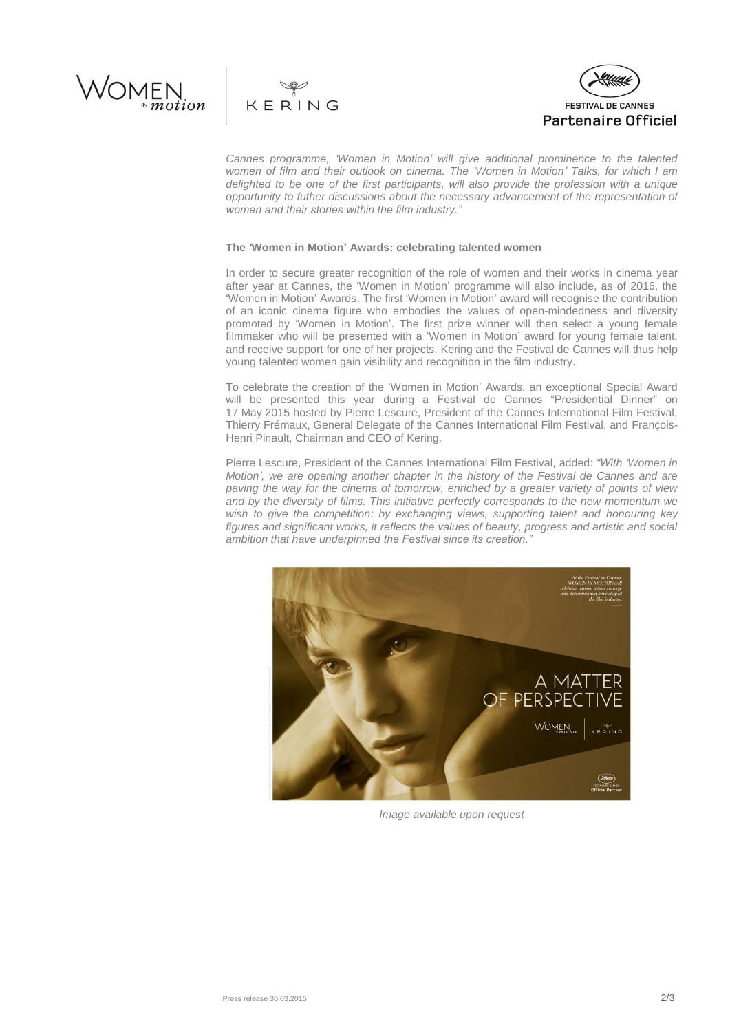





*Cannes programme, 'Women in Motion' will give additional prominence to the talented women of film and their outlook on cinema. The 'Women in Motion' Talks, for which I am delighted to be one of the first participants, will also provide the profession with a unique opportunity to futher discussions about the necessary advancement of the representation of women and their stories within the film industry."*

## **The** *'***Women in Motion' Awards: celebrating talented women**

In order to secure greater recognition of the role of women and their works in cinema year after year at Cannes, the 'Women in Motion' programme will also include, as of 2016, the 'Women in Motion' Awards. The first 'Women in Motion' award will recognise the contribution of an iconic cinema figure who embodies the values of open-mindedness and diversity promoted by 'Women in Motion'. The first prize winner will then select a young female filmmaker who will be presented with a 'Women in Motion' award for young female talent, and receive support for one of her projects. Kering and the Festival de Cannes will thus help young talented women gain visibility and recognition in the film industry.

To celebrate the creation of the 'Women in Motion' Awards, an exceptional Special Award will be presented this year during a Festival de Cannes "Presidential Dinner" on 17 May 2015 hosted by Pierre Lescure, President of the Cannes International Film Festival, Thierry Frémaux, General Delegate of the Cannes International Film Festival, and François-Henri Pinault, Chairman and CEO of Kering.

Pierre Lescure, President of the Cannes International Film Festival, added: *"With 'Women in Motion', we are opening another chapter in the history of the Festival de Cannes and are paving the way for the cinema of tomorrow, enriched by a greater variety of points of view and by the diversity of films. This initiative perfectly corresponds to the new momentum we wish to give the competition: by exchanging views, supporting talent and honouring key figures and significant works, it reflects the values of beauty, progress and artistic and social ambition that have underpinned the Festival since its creation."*



*Image available upon request*